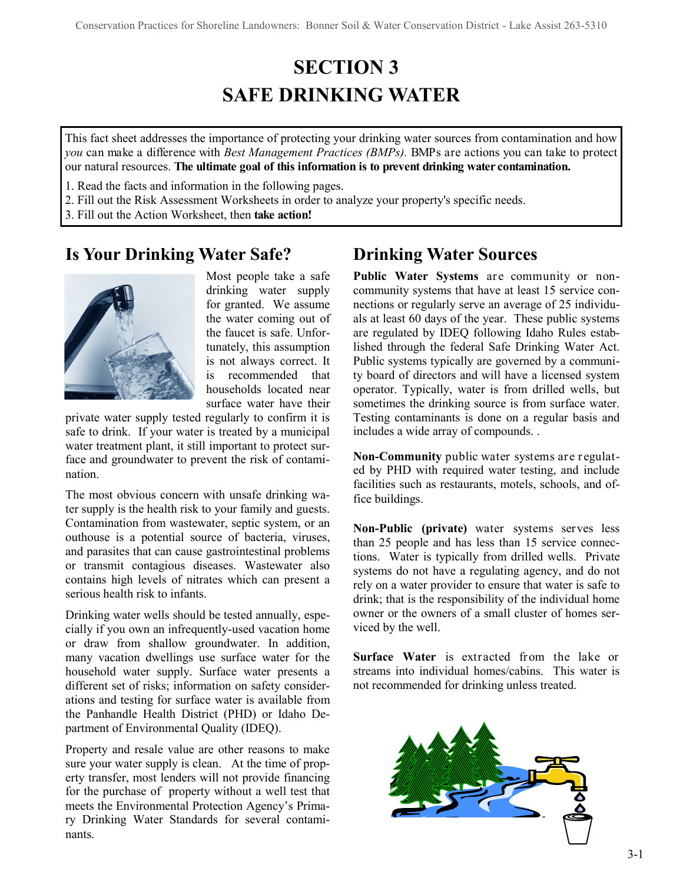# **SECTION 3 SAFE DRINKING WATER**

This fact sheet addresses the importance of protecting your drinking water sources from contamination and how *you* can make a difference with *Best Management Practices (BMPs).* BMPs are actions you can take to protect our natural resources. **The ultimate goal of this information is to prevent drinking water contamination.**

1. Read the facts and information in the following pages.

- 2. Fill out the Risk Assessment Worksheets in order to analyze your property's specific needs.
- 3. Fill out the Action Worksheet, then **take action!**

### **Is Your Drinking Water Safe?**



Most people take a safe drinking water supply for granted. We assume the water coming out of the faucet is safe. Unfortunately, this assumption is not always correct. It is recommended that households located near surface water have their

private water supply tested regularly to confirm it is safe to drink. If your water is treated by a municipal water treatment plant, it still important to protect surface and groundwater to prevent the risk of contamination.

The most obvious concern with unsafe drinking water supply is the health risk to your family and guests. Contamination from wastewater, septic system, or an outhouse is a potential source of bacteria, viruses, and parasites that can cause gastrointestinal problems or transmit contagious diseases. Wastewater also contains high levels of nitrates which can present a serious health risk to infants.

Drinking water wells should be tested annually, especially if you own an infrequently-used vacation home or draw from shallow groundwater. In addition, many vacation dwellings use surface water for the household water supply. Surface water presents a different set of risks; information on safety considerations and testing for surface water is available from the Panhandle Health District (PHD) or Idaho Department of Environmental Quality (IDEQ).

Property and resale value are other reasons to make sure your water supply is clean. At the time of property transfer, most lenders will not provide financing for the purchase of property without a well test that meets the Environmental Protection Agency's Primary Drinking Water Standards for several contaminants.

# **Drinking Water Sources**

**Public Water Systems** are community or noncommunity systems that have at least 15 service connections or regularly serve an average of 25 individuals at least 60 days of the year. These public systems are regulated by IDEQ following Idaho Rules established through the federal Safe Drinking Water Act. Public systems typically are governed by a community board of directors and will have a licensed system operator. Typically, water is from drilled wells, but sometimes the drinking source is from surface water. Testing contaminants is done on a regular basis and includes a wide array of compounds. .

**Non-Community** public water systems are regulated by PHD with required water testing, and include facilities such as restaurants, motels, schools, and office buildings.

**Non-Public (private)** water systems serves less than 25 people and has less than 15 service connections. Water is typically from drilled wells. Private systems do not have a regulating agency, and do not rely on a water provider to ensure that water is safe to drink; that is the responsibility of the individual home owner or the owners of a small cluster of homes serviced by the well.

**Surface Water** is extracted from the lake or streams into individual homes/cabins. This water is not recommended for drinking unless treated.

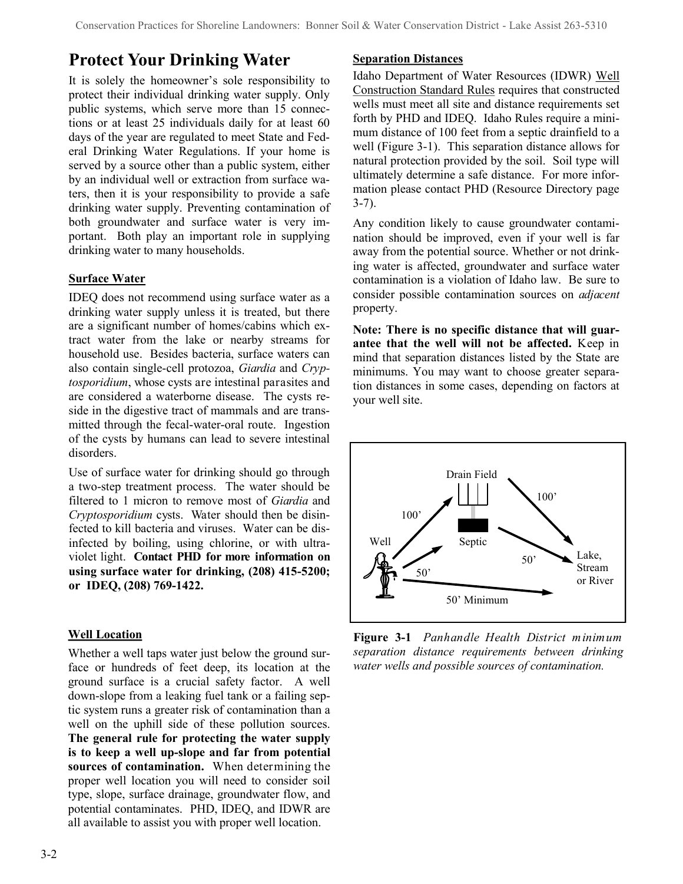# **Protect Your Drinking Water**

It is solely the homeowner's sole responsibility to protect their individual drinking water supply. Only public systems, which serve more than 15 connections or at least 25 individuals daily for at least 60 days of the year are regulated to meet State and Federal Drinking Water Regulations. If your home is served by a source other than a public system, either by an individual well or extraction from surface waters, then it is your responsibility to provide a safe drinking water supply. Preventing contamination of both groundwater and surface water is very important. Both play an important role in supplying drinking water to many households.

#### **Surface Water**

IDEQ does not recommend using surface water as a drinking water supply unless it is treated, but there are a significant number of homes/cabins which extract water from the lake or nearby streams for household use. Besides bacteria, surface waters can also contain single-cell protozoa, *Giardia* and *Cryptosporidium*, whose cysts are intestinal parasites and are considered a waterborne disease. The cysts reside in the digestive tract of mammals and are transmitted through the fecal-water-oral route. Ingestion of the cysts by humans can lead to severe intestinal disorders.

Use of surface water for drinking should go through a two-step treatment process. The water should be filtered to 1 micron to remove most of *Giardia* and *Cryptosporidium* cysts. Water should then be disinfected to kill bacteria and viruses. Water can be disinfected by boiling, using chlorine, or with ultraviolet light. **Contact PHD for more information on using surface water for drinking, (208) 415-5200; or IDEQ, (208) 769-1422.**

#### **Well Location**

Whether a well taps water just below the ground surface or hundreds of feet deep, its location at the ground surface is a crucial safety factor. A well down-slope from a leaking fuel tank or a failing septic system runs a greater risk of contamination than a well on the uphill side of these pollution sources. **The general rule for protecting the water supply is to keep a well up-slope and far from potential sources of contamination.** When determining the proper well location you will need to consider soil type, slope, surface drainage, groundwater flow, and potential contaminates. PHD, IDEQ, and IDWR are all available to assist you with proper well location.

#### **Separation Distances**

Idaho Department of Water Resources (IDWR) Well Construction Standard Rules requires that constructed wells must meet all site and distance requirements set forth by PHD and IDEQ. Idaho Rules require a minimum distance of 100 feet from a septic drainfield to a well (Figure 3-1). This separation distance allows for natural protection provided by the soil. Soil type will ultimately determine a safe distance. For more information please contact PHD (Resource Directory page 3-7).

Any condition likely to cause groundwater contamination should be improved, even if your well is far away from the potential source. Whether or not drinking water is affected, groundwater and surface water contamination is a violation of Idaho law. Be sure to consider possible contamination sources on *adjacent* property.

**Note: There is no specific distance that will guarantee that the well will not be affected.** Keep in mind that separation distances listed by the State are minimums. You may want to choose greater separation distances in some cases, depending on factors at your well site.



**Figure 3-1** *Panhandle Health District minimum separation distance requirements between drinking water wells and possible sources of contamination.*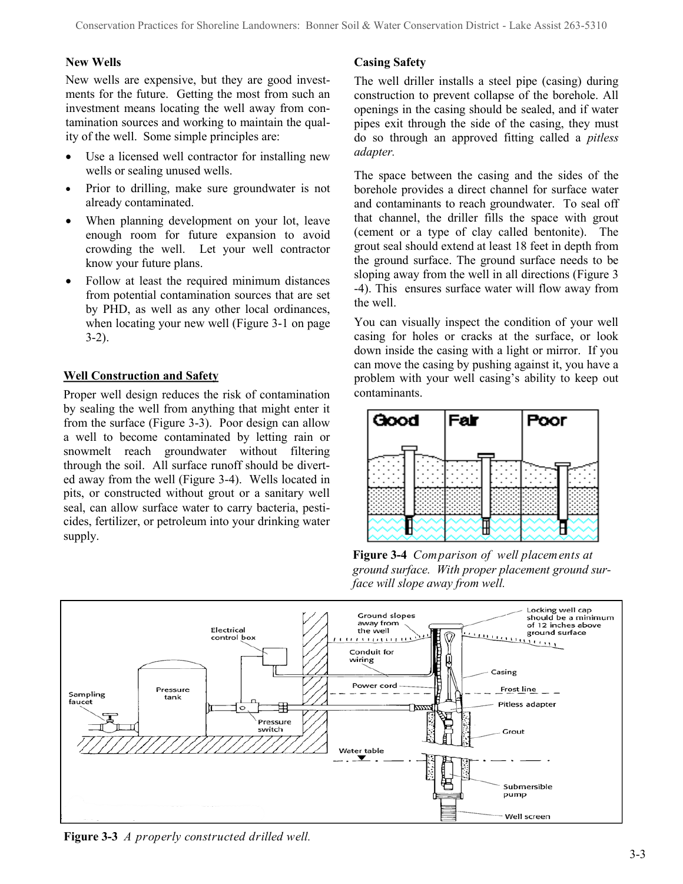#### **New Wells**

New wells are expensive, but they are good investments for the future. Getting the most from such an investment means locating the well away from contamination sources and working to maintain the quality of the well. Some simple principles are:

- Use a licensed well contractor for installing new wells or sealing unused wells.
- Prior to drilling, make sure groundwater is not already contaminated.
- When planning development on your lot, leave enough room for future expansion to avoid crowding the well. Let your well contractor know your future plans.
- Follow at least the required minimum distances from potential contamination sources that are set by PHD, as well as any other local ordinances, when locating your new well (Figure 3-1 on page 3-2).

#### **Well Construction and Safety**

Proper well design reduces the risk of contamination by sealing the well from anything that might enter it from the surface (Figure 3-3). Poor design can allow a well to become contaminated by letting rain or snowmelt reach groundwater without filtering through the soil. All surface runoff should be diverted away from the well (Figure 3-4). Wells located in pits, or constructed without grout or a sanitary well seal, can allow surface water to carry bacteria, pesticides, fertilizer, or petroleum into your drinking water supply.

#### **Casing Safety**

The well driller installs a steel pipe (casing) during construction to prevent collapse of the borehole. All openings in the casing should be sealed, and if water pipes exit through the side of the casing, they must do so through an approved fitting called a *pitless adapter.*

The space between the casing and the sides of the borehole provides a direct channel for surface water and contaminants to reach groundwater. To seal off that channel, the driller fills the space with grout (cement or a type of clay called bentonite). The grout seal should extend at least 18 feet in depth from the ground surface. The ground surface needs to be sloping away from the well in all directions (Figure 3 -4). This ensures surface water will flow away from the well.

You can visually inspect the condition of your well casing for holes or cracks at the surface, or look down inside the casing with a light or mirror. If you can move the casing by pushing against it, you have a problem with your well casing's ability to keep out contaminants.



**Figure 3-4** *Comparison of well placements at ground surface. With proper placement ground surface will slope away from well.* 



**Figure 3-3** *A properly constructed drilled well.*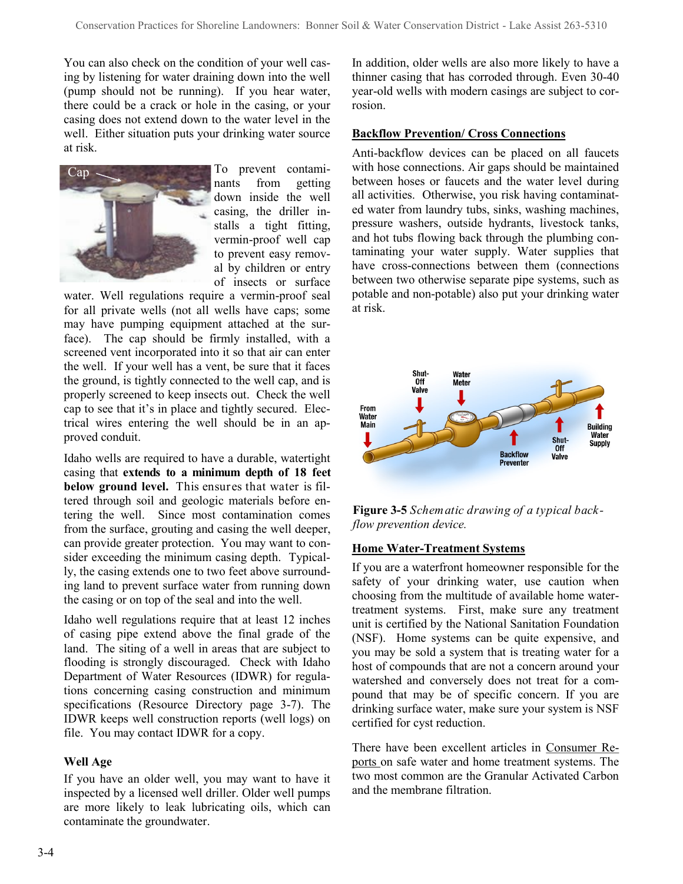You can also check on the condition of your well casing by listening for water draining down into the well (pump should not be running). If you hear water, there could be a crack or hole in the casing, or your casing does not extend down to the water level in the well. Either situation puts your drinking water source at risk.



To prevent contaminants from getting down inside the well casing, the driller installs a tight fitting, vermin-proof well cap to prevent easy removal by children or entry of insects or surface

water. Well regulations require a vermin-proof seal for all private wells (not all wells have caps; some may have pumping equipment attached at the surface). The cap should be firmly installed, with a screened vent incorporated into it so that air can enter the well. If your well has a vent, be sure that it faces the ground, is tightly connected to the well cap, and is properly screened to keep insects out. Check the well cap to see that it's in place and tightly secured. Electrical wires entering the well should be in an approved conduit.

Idaho wells are required to have a durable, watertight casing that **extends to a minimum depth of 18 feet below ground level.** This ensures that water is filtered through soil and geologic materials before entering the well. Since most contamination comes from the surface, grouting and casing the well deeper, can provide greater protection. You may want to consider exceeding the minimum casing depth. Typically, the casing extends one to two feet above surrounding land to prevent surface water from running down the casing or on top of the seal and into the well.

Idaho well regulations require that at least 12 inches of casing pipe extend above the final grade of the land. The siting of a well in areas that are subject to flooding is strongly discouraged. Check with Idaho Department of Water Resources (IDWR) for regulations concerning casing construction and minimum specifications (Resource Directory page 3-7). The IDWR keeps well construction reports (well logs) on file. You may contact IDWR for a copy.

#### **Well Age**

If you have an older well, you may want to have it inspected by a licensed well driller. Older well pumps are more likely to leak lubricating oils, which can contaminate the groundwater.

In addition, older wells are also more likely to have a thinner casing that has corroded through. Even 30-40 year-old wells with modern casings are subject to corrosion.

#### **Backflow Prevention/ Cross Connections**

Anti-backflow devices can be placed on all faucets with hose connections. Air gaps should be maintained between hoses or faucets and the water level during all activities. Otherwise, you risk having contaminated water from laundry tubs, sinks, washing machines, pressure washers, outside hydrants, livestock tanks, and hot tubs flowing back through the plumbing contaminating your water supply. Water supplies that have cross-connections between them (connections between two otherwise separate pipe systems, such as potable and non-potable) also put your drinking water at risk.



**Figure 3-5** *Schematic drawing of a typical backflow prevention device.*

#### **Home Water-Treatment Systems**

If you are a waterfront homeowner responsible for the safety of your drinking water, use caution when choosing from the multitude of available home watertreatment systems. First, make sure any treatment unit is certified by the National Sanitation Foundation (NSF). Home systems can be quite expensive, and you may be sold a system that is treating water for a host of compounds that are not a concern around your watershed and conversely does not treat for a compound that may be of specific concern. If you are drinking surface water, make sure your system is NSF certified for cyst reduction.

There have been excellent articles in Consumer Reports on safe water and home treatment systems. The two most common are the Granular Activated Carbon and the membrane filtration.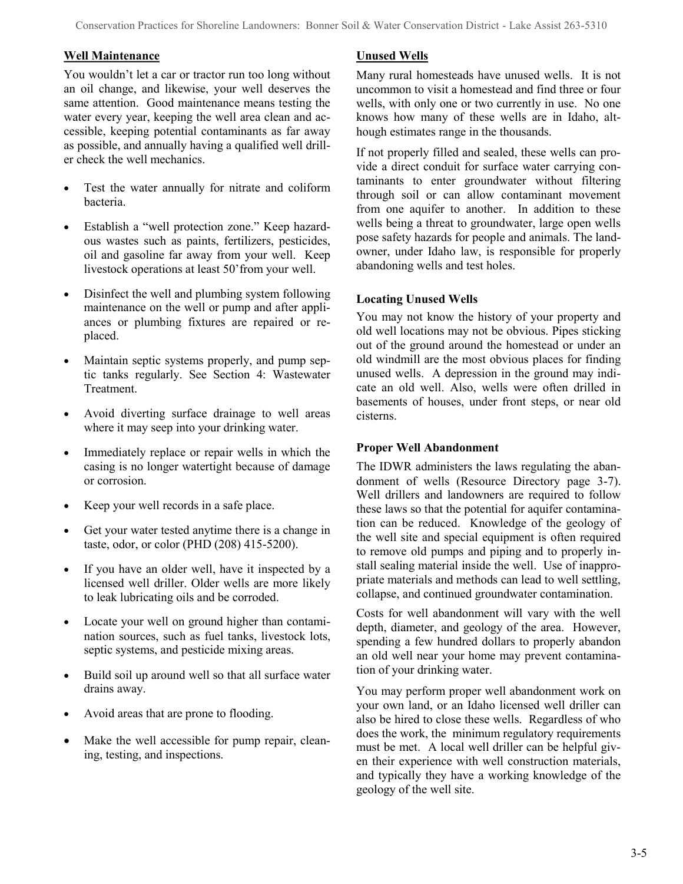#### **Well Maintenance**

You wouldn't let a car or tractor run too long without an oil change, and likewise, your well deserves the same attention. Good maintenance means testing the water every year, keeping the well area clean and accessible, keeping potential contaminants as far away as possible, and annually having a qualified well driller check the well mechanics.

- Test the water annually for nitrate and coliform bacteria.
- Establish a "well protection zone." Keep hazardous wastes such as paints, fertilizers, pesticides, oil and gasoline far away from your well. Keep livestock operations at least 50'from your well.
- Disinfect the well and plumbing system following maintenance on the well or pump and after appliances or plumbing fixtures are repaired or replaced.
- Maintain septic systems properly, and pump septic tanks regularly. See Section 4: Wastewater Treatment.
- Avoid diverting surface drainage to well areas where it may seep into your drinking water.
- Immediately replace or repair wells in which the casing is no longer watertight because of damage or corrosion.
- Keep your well records in a safe place.
- Get your water tested anytime there is a change in taste, odor, or color (PHD (208) 415-5200).
- If you have an older well, have it inspected by a licensed well driller. Older wells are more likely to leak lubricating oils and be corroded.
- Locate your well on ground higher than contamination sources, such as fuel tanks, livestock lots, septic systems, and pesticide mixing areas.
- Build soil up around well so that all surface water drains away.
- Avoid areas that are prone to flooding.
- Make the well accessible for pump repair, cleaning, testing, and inspections.

#### **Unused Wells**

Many rural homesteads have unused wells. It is not uncommon to visit a homestead and find three or four wells, with only one or two currently in use. No one knows how many of these wells are in Idaho, although estimates range in the thousands.

If not properly filled and sealed, these wells can provide a direct conduit for surface water carrying contaminants to enter groundwater without filtering through soil or can allow contaminant movement from one aquifer to another. In addition to these wells being a threat to groundwater, large open wells pose safety hazards for people and animals. The landowner, under Idaho law, is responsible for properly abandoning wells and test holes.

#### **Locating Unused Wells**

You may not know the history of your property and old well locations may not be obvious. Pipes sticking out of the ground around the homestead or under an old windmill are the most obvious places for finding unused wells. A depression in the ground may indicate an old well. Also, wells were often drilled in basements of houses, under front steps, or near old cisterns.

#### **Proper Well Abandonment**

The IDWR administers the laws regulating the abandonment of wells (Resource Directory page 3-7). Well drillers and landowners are required to follow these laws so that the potential for aquifer contamination can be reduced. Knowledge of the geology of the well site and special equipment is often required to remove old pumps and piping and to properly install sealing material inside the well. Use of inappropriate materials and methods can lead to well settling, collapse, and continued groundwater contamination.

Costs for well abandonment will vary with the well depth, diameter, and geology of the area. However, spending a few hundred dollars to properly abandon an old well near your home may prevent contamination of your drinking water.

You may perform proper well abandonment work on your own land, or an Idaho licensed well driller can also be hired to close these wells. Regardless of who does the work, the minimum regulatory requirements must be met. A local well driller can be helpful given their experience with well construction materials, and typically they have a working knowledge of the geology of the well site.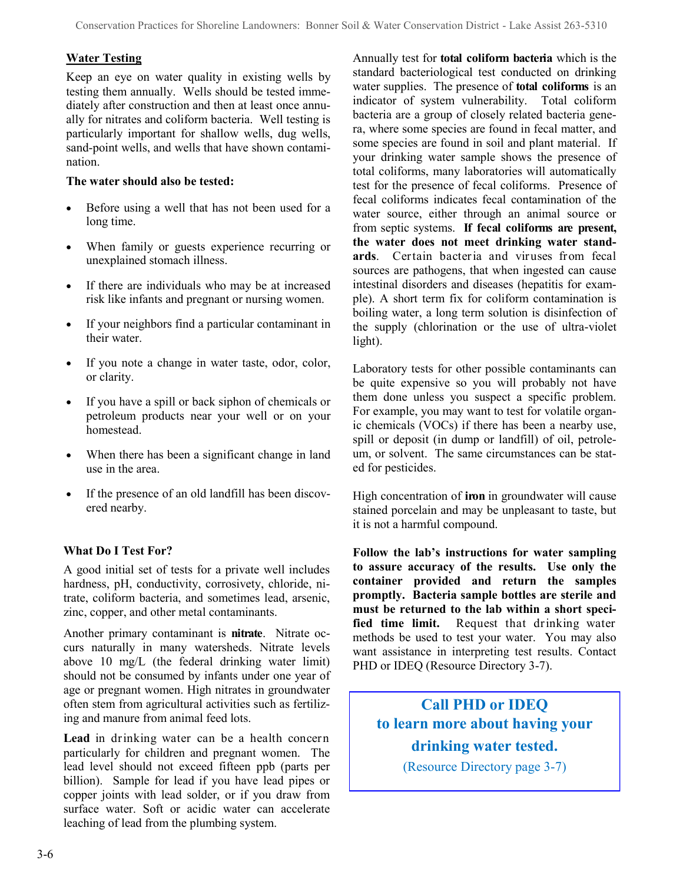#### **Water Testing**

Keep an eye on water quality in existing wells by testing them annually. Wells should be tested immediately after construction and then at least once annually for nitrates and coliform bacteria. Well testing is particularly important for shallow wells, dug wells, sand-point wells, and wells that have shown contamination.

#### **The water should also be tested:**

- Before using a well that has not been used for a long time.
- When family or guests experience recurring or unexplained stomach illness.
- If there are individuals who may be at increased risk like infants and pregnant or nursing women.
- If your neighbors find a particular contaminant in their water.
- If you note a change in water taste, odor, color, or clarity.
- If you have a spill or back siphon of chemicals or petroleum products near your well or on your homestead.
- When there has been a significant change in land use in the area.
- If the presence of an old landfill has been discovered nearby.

#### **What Do I Test For?**

A good initial set of tests for a private well includes hardness, pH, conductivity, corrosivety, chloride, nitrate, coliform bacteria, and sometimes lead, arsenic, zinc, copper, and other metal contaminants.

Another primary contaminant is **nitrate**. Nitrate occurs naturally in many watersheds. Nitrate levels above 10 mg/L (the federal drinking water limit) should not be consumed by infants under one year of age or pregnant women. High nitrates in groundwater often stem from agricultural activities such as fertilizing and manure from animal feed lots.

**Lead** in drinking water can be a health concern particularly for children and pregnant women. The lead level should not exceed fifteen ppb (parts per billion). Sample for lead if you have lead pipes or copper joints with lead solder, or if you draw from surface water. Soft or acidic water can accelerate leaching of lead from the plumbing system.

Annually test for **total coliform bacteria** which is the standard bacteriological test conducted on drinking water supplies. The presence of **total coliforms** is an indicator of system vulnerability. Total coliform bacteria are a group of closely related bacteria genera, where some species are found in fecal matter, and some species are found in soil and plant material. If your drinking water sample shows the presence of total coliforms, many laboratories will automatically test for the presence of fecal coliforms. Presence of fecal coliforms indicates fecal contamination of the water source, either through an animal source or from septic systems. **If fecal coliforms are present, the water does not meet drinking water standards**. Certain bacteria and viruses from fecal sources are pathogens, that when ingested can cause intestinal disorders and diseases (hepatitis for example). A short term fix for coliform contamination is boiling water, a long term solution is disinfection of the supply (chlorination or the use of ultra-violet light).

Laboratory tests for other possible contaminants can be quite expensive so you will probably not have them done unless you suspect a specific problem. For example, you may want to test for volatile organic chemicals (VOCs) if there has been a nearby use, spill or deposit (in dump or landfill) of oil, petroleum, or solvent. The same circumstances can be stated for pesticides.

High concentration of **iron** in groundwater will cause stained porcelain and may be unpleasant to taste, but it is not a harmful compound.

**Follow the lab's instructions for water sampling to assure accuracy of the results. Use only the container provided and return the samples promptly. Bacteria sample bottles are sterile and must be returned to the lab within a short specified time limit.** Request that drinking water methods be used to test your water. You may also want assistance in interpreting test results. Contact PHD or IDEQ (Resource Directory 3-7).

# **Call PHD or IDEQ to learn more about having your drinking water tested.**

(Resource Directory page 3-7)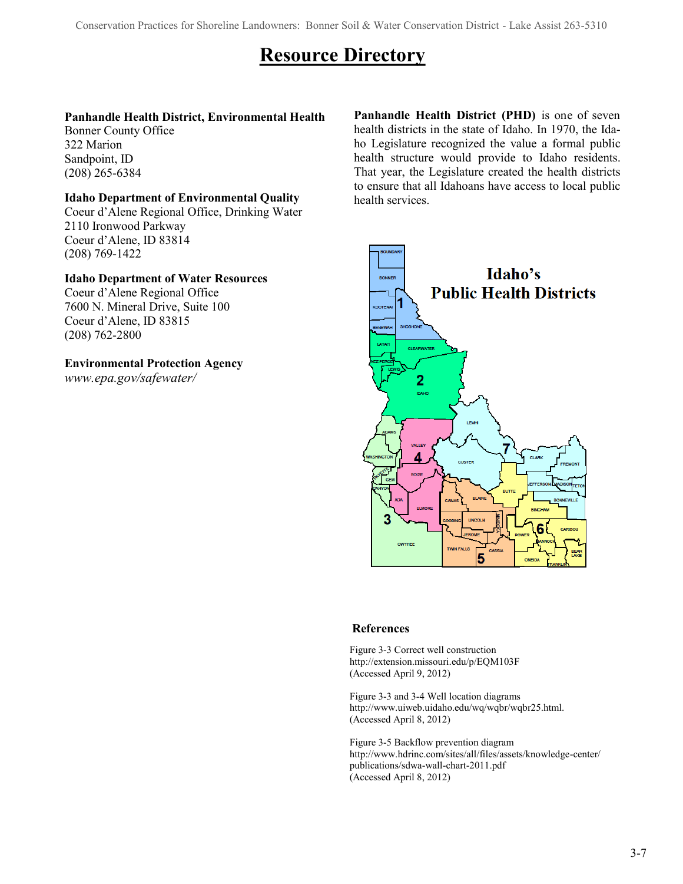# **Resource Directory**

#### **Panhandle Health District, Environmental Health**

Bonner County Office 322 Marion Sandpoint, ID (208) 265-6384

#### **Idaho Department of Environmental Quality**

Coeur d'Alene Regional Office, Drinking Water 2110 Ironwood Parkway Coeur d'Alene, ID 83814 (208) 769-1422

#### **Idaho Department of Water Resources**

Coeur d'Alene Regional Office 7600 N. Mineral Drive, Suite 100 Coeur d'Alene, ID 83815 (208) 762-2800

#### **Environmental Protection Agency**

*www.epa.gov/safewater/*

**Panhandle Health District (PHD)** is one of seven health districts in the state of Idaho. In 1970, the Idaho Legislature recognized the value a formal public health structure would provide to Idaho residents. That year, the Legislature created the health districts to ensure that all Idahoans have access to local public health services.



#### **References**

Figure 3-3 Correct well construction http://extension.missouri.edu/p/EQM103F (Accessed April 9, 2012)

Figure 3-3 and 3-4 Well location diagrams http://www.uiweb.uidaho.edu/wq/wqbr/wqbr25.html. (Accessed April 8, 2012)

Figure 3-5 Backflow prevention diagram http://www.hdrinc.com/sites/all/files/assets/knowledge-center/ publications/sdwa-wall-chart-2011.pdf (Accessed April 8, 2012)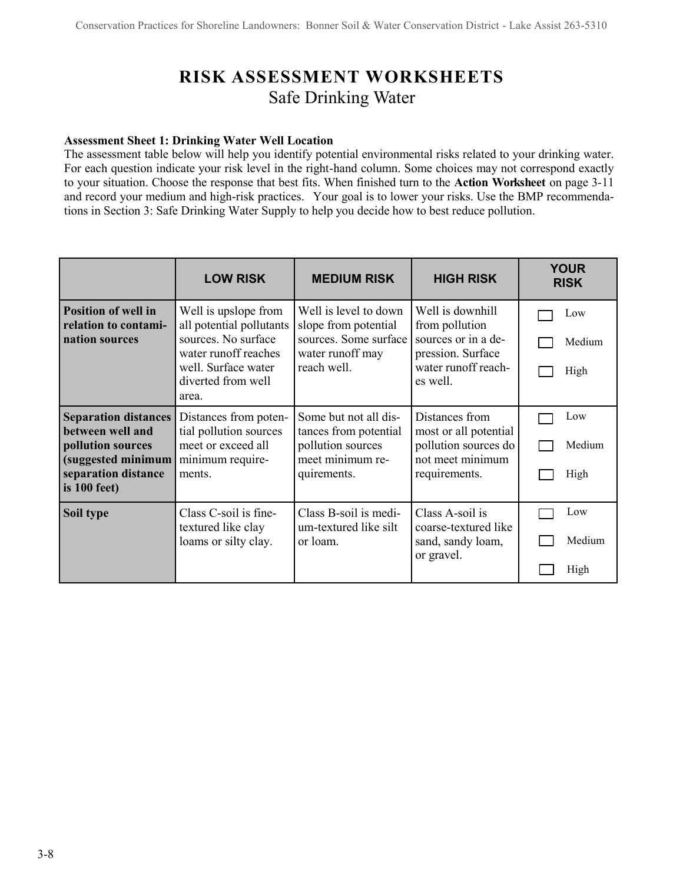# **RISK ASSESSMENT WORKSHEETS** Safe Drinking Water

#### **Assessment Sheet 1: Drinking Water Well Location**

The assessment table below will help you identify potential environmental risks related to your drinking water. For each question indicate your risk level in the right-hand column. Some choices may not correspond exactly to your situation. Choose the response that best fits. When finished turn to the **Action Worksheet** on page 3-11 and record your medium and high-risk practices.Your goal is to lower your risks. Use the BMP recommendations in Section 3: Safe Drinking Water Supply to help you decide how to best reduce pollution.

|                                                                                                                                   | <b>LOW RISK</b>                                                                                                                                       | <b>MEDIUM RISK</b>                                                                                        | <b>HIGH RISK</b>                                                                                                  | <b>YOUR</b><br><b>RISK</b> |
|-----------------------------------------------------------------------------------------------------------------------------------|-------------------------------------------------------------------------------------------------------------------------------------------------------|-----------------------------------------------------------------------------------------------------------|-------------------------------------------------------------------------------------------------------------------|----------------------------|
| <b>Position of well in</b><br>relation to contami-<br>nation sources                                                              | Well is upslope from<br>all potential pollutants<br>sources. No surface<br>water runoff reaches<br>well. Surface water<br>diverted from well<br>area. | Well is level to down<br>slope from potential<br>sources. Some surface<br>water runoff may<br>reach well. | Well is downhill<br>from pollution<br>sources or in a de-<br>pression. Surface<br>water runoff reach-<br>es well. | Low<br>Medium<br>High      |
| <b>Separation distances</b><br>between well and<br>pollution sources<br>(suggested minimum<br>separation distance<br>is 100 feet) | Distances from poten-<br>tial pollution sources<br>meet or exceed all<br>minimum require-<br>ments.                                                   | Some but not all dis-<br>tances from potential<br>pollution sources<br>meet minimum re-<br>quirements.    | Distances from<br>most or all potential<br>pollution sources do<br>not meet minimum<br>requirements.              | Low<br>Medium<br>High      |
| Soil type                                                                                                                         | Class C-soil is fine-<br>textured like clay<br>loams or silty clay.                                                                                   | Class B-soil is medi-<br>um-textured like silt<br>or loam.                                                | Class A-soil is<br>coarse-textured like<br>sand, sandy loam,<br>or gravel.                                        | Low<br>Medium<br>High      |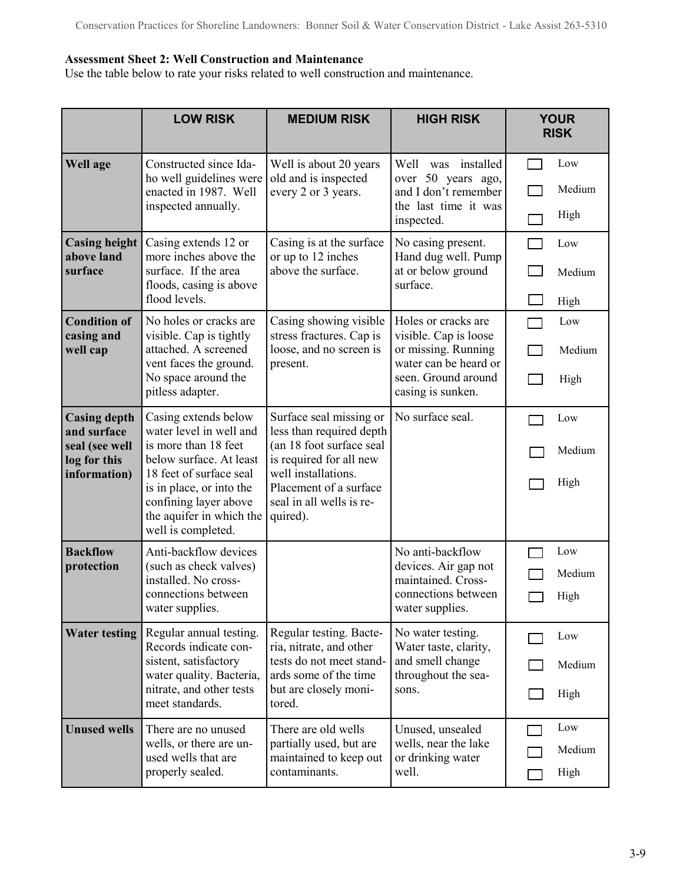#### **Assessment Sheet 2: Well Construction and Maintenance**

Use the table below to rate your risks related to well construction and maintenance.

|                                                                                      | <b>LOW RISK</b>                                                                                                                                                                                                                      | <b>MEDIUM RISK</b>                                                                                                                                                                                  | <b>HIGH RISK</b>                                                                                                                         | <b>YOUR</b><br><b>RISK</b> |
|--------------------------------------------------------------------------------------|--------------------------------------------------------------------------------------------------------------------------------------------------------------------------------------------------------------------------------------|-----------------------------------------------------------------------------------------------------------------------------------------------------------------------------------------------------|------------------------------------------------------------------------------------------------------------------------------------------|----------------------------|
| Well age                                                                             | Constructed since Ida-<br>ho well guidelines were<br>enacted in 1987. Well<br>inspected annually.                                                                                                                                    | Well is about 20 years<br>old and is inspected<br>every 2 or 3 years.                                                                                                                               | was installed<br>Well<br>over 50 years ago,<br>and I don't remember<br>the last time it was<br>inspected.                                | Low<br>Medium<br>High      |
| <b>Casing height</b><br>above land<br>surface                                        | Casing extends 12 or<br>more inches above the<br>surface. If the area<br>floods, casing is above<br>flood levels.                                                                                                                    | Casing is at the surface<br>or up to 12 inches<br>above the surface.                                                                                                                                | No casing present.<br>Hand dug well. Pump<br>at or below ground<br>surface.                                                              | Low<br>Medium<br>High      |
| <b>Condition of</b><br>casing and<br>well cap                                        | No holes or cracks are<br>visible. Cap is tightly<br>attached. A screened<br>vent faces the ground.<br>No space around the<br>pitless adapter.                                                                                       | Casing showing visible<br>stress fractures. Cap is<br>loose, and no screen is<br>present.                                                                                                           | Holes or cracks are<br>visible. Cap is loose<br>or missing. Running<br>water can be heard or<br>seen. Ground around<br>casing is sunken. | Low<br>Medium<br>High      |
| <b>Casing depth</b><br>and surface<br>seal (see well<br>log for this<br>information) | Casing extends below<br>water level in well and<br>is more than 18 feet<br>below surface. At least<br>18 feet of surface seal<br>is in place, or into the<br>confining layer above<br>the aquifer in which the<br>well is completed. | Surface seal missing or<br>less than required depth<br>(an 18 foot surface seal<br>is required for all new<br>well installations.<br>Placement of a surface<br>seal in all wells is re-<br>quired). | No surface seal.                                                                                                                         | Low<br>Medium<br>High      |
| <b>Backflow</b><br>protection                                                        | Anti-backflow devices<br>(such as check valves)<br>installed. No cross-<br>connections between<br>water supplies.                                                                                                                    |                                                                                                                                                                                                     | No anti-backflow<br>devices. Air gap not<br>maintained. Cross-<br>connections between<br>water supplies.                                 | Low<br>Medium<br>High      |
| <b>Water testing</b>                                                                 | Regular annual testing.<br>Records indicate con-<br>sistent, satisfactory<br>water quality. Bacteria,<br>nitrate, and other tests<br>meet standards.                                                                                 | Regular testing. Bacte-<br>ria, nitrate, and other<br>tests do not meet stand-<br>ards some of the time<br>but are closely moni-<br>tored.                                                          | No water testing.<br>Water taste, clarity,<br>and smell change<br>throughout the sea-<br>sons.                                           | Low<br>Medium<br>High      |
| <b>Unused wells</b>                                                                  | There are no unused<br>wells, or there are un-<br>used wells that are<br>properly sealed.                                                                                                                                            | There are old wells<br>partially used, but are<br>maintained to keep out<br>contaminants.                                                                                                           | Unused, unsealed<br>wells, near the lake<br>or drinking water<br>well.                                                                   | Low<br>Medium<br>High      |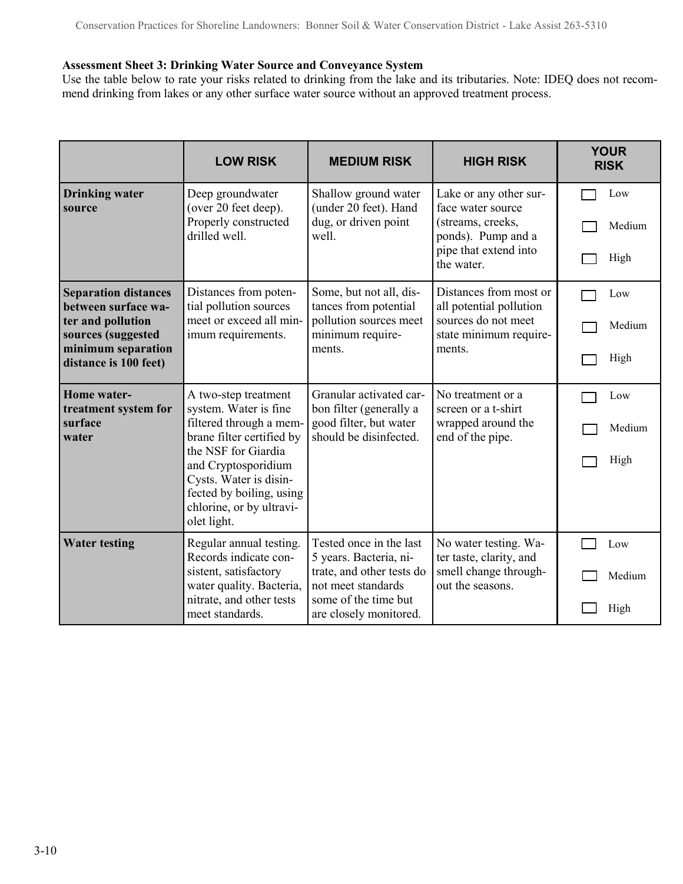#### **Assessment Sheet 3: Drinking Water Source and Conveyance System**

Use the table below to rate your risks related to drinking from the lake and its tributaries. Note: IDEQ does not recommend drinking from lakes or any other surface water source without an approved treatment process.

|                                                                                                                                              | <b>LOW RISK</b>                                                                                                                                                                                                                                      | <b>MEDIUM RISK</b>                                                                                                                                     | <b>HIGH RISK</b>                                                                                                              | <b>YOUR</b><br><b>RISK</b> |
|----------------------------------------------------------------------------------------------------------------------------------------------|------------------------------------------------------------------------------------------------------------------------------------------------------------------------------------------------------------------------------------------------------|--------------------------------------------------------------------------------------------------------------------------------------------------------|-------------------------------------------------------------------------------------------------------------------------------|----------------------------|
| <b>Drinking water</b><br>source                                                                                                              | Deep groundwater<br>(over 20 feet deep).<br>Properly constructed<br>drilled well.                                                                                                                                                                    | Shallow ground water<br>(under 20 feet). Hand<br>dug, or driven point<br>well.                                                                         | Lake or any other sur-<br>face water source<br>(streams, creeks,<br>ponds). Pump and a<br>pipe that extend into<br>the water. | Low<br>Medium<br>High      |
| <b>Separation distances</b><br>between surface wa-<br>ter and pollution<br>sources (suggested<br>minimum separation<br>distance is 100 feet) | Distances from poten-<br>tial pollution sources<br>meet or exceed all min-<br>imum requirements.                                                                                                                                                     | Some, but not all, dis-<br>tances from potential<br>pollution sources meet<br>minimum require-<br>ments.                                               | Distances from most or<br>all potential pollution<br>sources do not meet<br>state minimum require-<br>ments.                  | Low<br>Medium<br>High      |
| <b>Home</b> water-<br>treatment system for<br>surface<br>water                                                                               | A two-step treatment<br>system. Water is fine<br>filtered through a mem-<br>brane filter certified by<br>the NSF for Giardia<br>and Cryptosporidium<br>Cysts. Water is disin-<br>fected by boiling, using<br>chlorine, or by ultravi-<br>olet light. | Granular activated car-<br>bon filter (generally a<br>good filter, but water<br>should be disinfected.                                                 | No treatment or a<br>screen or a t-shirt<br>wrapped around the<br>end of the pipe.                                            | Low<br>Medium<br>High      |
| <b>Water testing</b>                                                                                                                         | Regular annual testing.<br>Records indicate con-<br>sistent, satisfactory<br>water quality. Bacteria,<br>nitrate, and other tests<br>meet standards.                                                                                                 | Tested once in the last<br>5 years. Bacteria, ni-<br>trate, and other tests do<br>not meet standards<br>some of the time but<br>are closely monitored. | No water testing. Wa-<br>ter taste, clarity, and<br>smell change through-<br>out the seasons.                                 | Low<br>Medium<br>High      |